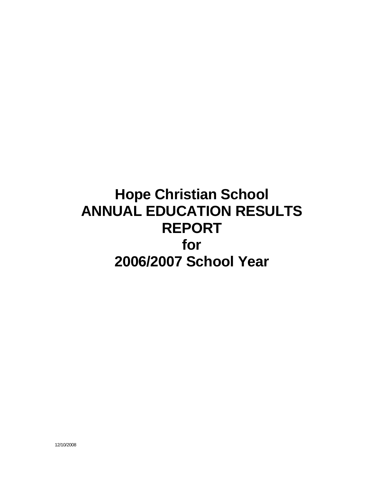# **Hope Christian School ANNUAL EDUCATION RESULTS REPORT for 2006/2007 School Year**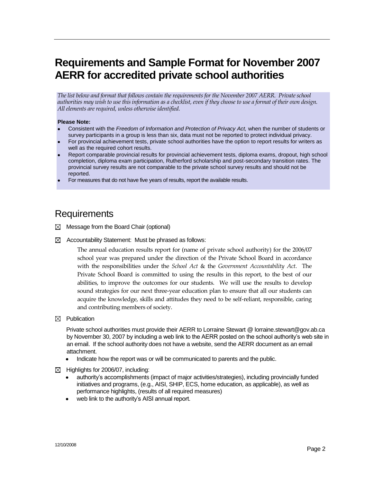# **Requirements and Sample Format for November 2007 AERR for accredited private school authorities**

*The list below and format that follows contain the requirements for the November 2007 AERR. Private school authorities may wish to use this information as a checklist, even if they choose to use a format of their own design. All elements are required, unless otherwise identified.*

#### **Please Note:**

- Consistent with the *Freedom of Information and Protection of Privacy Act,* when the number of students or survey participants in a group is less than six, data must not be reported to protect individual privacy.
- For provincial achievement tests, private school authorities have the option to report results for writers as well as the required cohort results.
- Report comparable provincial results for provincial achievement tests, diploma exams, dropout, high school completion, diploma exam participation, Rutherford scholarship and post-secondary transition rates. The provincial survey results are not comparable to the private school survey results and should not be reported.
- For measures that do not have five years of results, report the available results.

# Requirements

- $\boxtimes$  Message from the Board Chair (optional)
- $\boxtimes$  Accountability Statement: Must be phrased as follows:

The annual education results report for (name of private school authority) for the 2006/07 school year was prepared under the direction of the Private School Board in accordance with the responsibilities under the *School Act* & the *Government Accountability Act*. The Private School Board is committed to using the results in this report, to the best of our abilities, to improve the outcomes for our students. We will use the results to develop sound strategies for our next three-year education plan to ensure that all our students can acquire the knowledge, skills and attitudes they need to be self-reliant, responsible, caring and contributing members of society.

 $\boxtimes$  Publication

Private school authorities must provide their AERR to Lorraine Stewart @ lorraine.stewart@gov.ab.ca by November 30, 2007 by including a web link to the AERR posted on the school authority's web site in an email. If the school authority does not have a website, send the AERR document as an email attachment.

- Indicate how the report was or will be communicated to parents and the public.
- $\boxtimes$  Highlights for 2006/07, including:
	- authority's accomplishments (impact of major activities/strategies), including provincially funded initiatives and programs, (e.g., AISI, SHIP, ECS, home education, as applicable), as well as performance highlights, (results of all required measures)
	- web link to the authority's AISI annual report.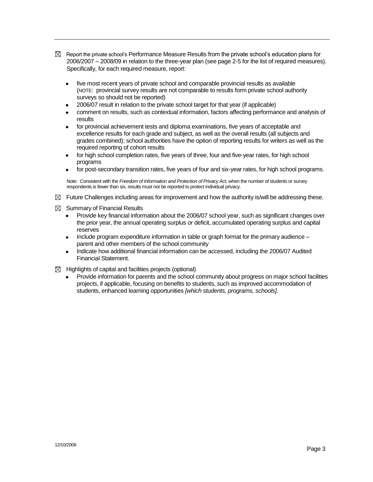- $\boxtimes$  Report the private school's Performance Measure Results from the private school's education plans for 2006/2007 – 2008/09 in relation to the three-year plan (see page 2-5 for the list of required measures). Specifically, for each required measure, report:
	- five most recent years of private school and comparable provincial results as available  $\bullet$ (NOTE: provincial survey results are not comparable to results form private school authority surveys so should not be reported)
	- 2006/07 result in relation to the private school target for that year (if applicable)
	- comment on results, such as contextual information, factors affecting performance and analysis of results
	- for provincial achievement tests and diploma examinations, five years of acceptable and excellence results for each grade and subject, as well as the overall results (all subjects and grades combined); school authorities have the option of reporting results for writers as well as the required reporting of cohort results
	- for high school completion rates, five years of three, four and five-year rates, for high school programs
	- for post-secondary transition rates, five years of four and six-year rates, for high school programs.

Note: Consistent with the *Freedom of Information and Protection of Privacy Act*, when the number of students or survey respondents is fewer than six, results must not be reported to protect individual privacy.

- $\boxtimes$  Future Challenges including areas for improvement and how the authority is/will be addressing these.
- $\boxtimes$  Summary of Financial Results
	- Provide key financial information about the 2006/07 school year, such as significant changes over the prior year, the annual operating surplus or deficit, accumulated operating surplus and capital reserves
	- Include program expenditure information in table or graph format for the primary audience  $\bullet$ parent and other members of the school community
	- Indicate how additional financial information can be accessed, including the 2006/07 Audited Financial Statement.
- $\boxtimes$  Highlights of capital and facilities projects (optional)
	- Provide information for parents and the school community about progress on major school facilities projects, if applicable, focusing on benefits to students, such as improved accommodation of students, enhanced learning opportunities *[which students, programs, schools].*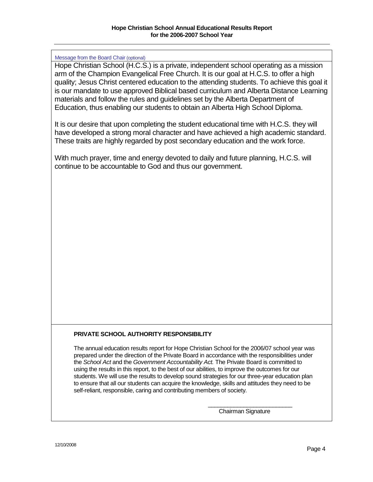#### Message from the Board Chair (optional)

Hope Christian School (H.C.S.) is a private, independent school operating as a mission arm of the Champion Evangelical Free Church. It is our goal at H.C.S. to offer a high quality; Jesus Christ centered education to the attending students. To achieve this goal it is our mandate to use approved Biblical based curriculum and Alberta Distance Learning materials and follow the rules and guidelines set by the Alberta Department of Education, thus enabling our students to obtain an Alberta High School Diploma.

It is our desire that upon completing the student educational time with H.C.S. they will have developed a strong moral character and have achieved a high academic standard. These traits are highly regarded by post secondary education and the work force.

With much prayer, time and energy devoted to daily and future planning, H.C.S. will continue to be accountable to God and thus our government.

#### **PRIVATE SCHOOL AUTHORITY RESPONSIBILITY**

The annual education results report for Hope Christian School for the 2006/07 school year was prepared under the direction of the Private Board in accordance with the responsibilities under the *School Act* and the *Government Accountability Act.* The Private Board is committed to using the results in this report, to the best of our abilities, to improve the outcomes for our students. We will use the results to develop sound strategies for our three-year education plan to ensure that all our students can acquire the knowledge, skills and attitudes they need to be self-reliant, responsible, caring and contributing members of society.

> \_\_\_\_\_\_\_\_\_\_\_\_\_\_\_\_\_\_\_\_\_\_\_\_\_\_ Chairman Signature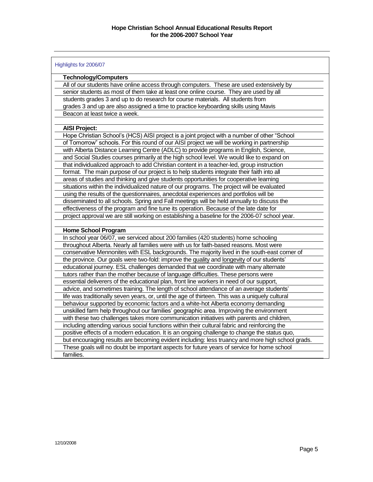| Highlights for 2006/07                                                                           |
|--------------------------------------------------------------------------------------------------|
| <b>Technology/Computers</b>                                                                      |
| All of our students have online access through computers. These are used extensively by          |
| senior students as most of them take at least one online course. They are used by all            |
| students grades 3 and up to do research for course materials. All students from                  |
| grades 3 and up are also assigned a time to practice keyboarding skills using Mavis              |
| Beacon at least twice a week.                                                                    |
|                                                                                                  |
| <b>AISI Project:</b>                                                                             |
| Hope Christian School's (HCS) AISI project is a joint project with a number of other "School     |
| of Tomorrow" schools. For this round of our AISI project we will be working in partnership       |
| with Alberta Distance Learning Centre (ADLC) to provide programs in English, Science,            |
| and Social Studies courses primarily at the high school level. We would like to expand on        |
| that individualized approach to add Christian content in a teacher-led, group instruction        |
| format. The main purpose of our project is to help students integrate their faith into all       |
| areas of studies and thinking and give students opportunities for cooperative learning           |
| situations within the individualized nature of our programs. The project will be evaluated       |
| using the results of the questionnaires, anecdotal experiences and portfolios will be            |
| disseminated to all schools. Spring and Fall meetings will be held annually to discuss the       |
| effectiveness of the program and fine tune its operation. Because of the late date for           |
| project approval we are still working on establishing a baseline for the 2006-07 school year.    |
|                                                                                                  |
| <b>Home School Program</b>                                                                       |
| In school year 06/07, we serviced about 200 families (420 students) home schooling               |
| throughout Alberta. Nearly all families were with us for faith-based reasons. Most were          |
| conservative Mennonites with ESL backgrounds. The majority lived in the south-east corner of     |
| the province. Our goals were two-fold: improve the quality and longevity of our students'        |
| educational journey. ESL challenges demanded that we coordinate with many alternate              |
| tutors rather than the mother because of language difficulties. These persons were               |
| essential deliverers of the educational plan, front line workers in need of our support,         |
| advice, and sometimes training. The length of school attendance of an average students'          |
| life was traditionally seven years, or, until the age of thirteen. This was a uniquely cultural  |
| behaviour supported by economic factors and a white-hot Alberta economy demanding                |
| unskilled farm help throughout our families' geographic area. Improving the environment          |
| with these two challenges takes more communication initiatives with parents and children,        |
| including attending various social functions within their cultural fabric and reinforcing the    |
| positive effects of a modern education. It is an ongoing challenge to change the status quo,     |
| but encouraging results are becoming evident including: less truancy and more high school grads. |
| These goals will no doubt be important aspects for future years of service for home school       |
| families.                                                                                        |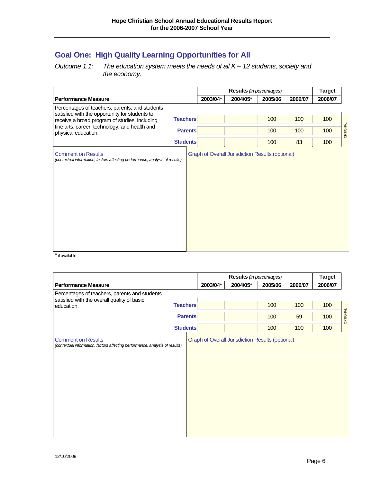# **Goal One: High Quality Learning Opportunities for All**

#### *Outcome 1.1: The education system meets the needs of all K – 12 students, society and the economy.*

|                                                                                                       |                 | Results (in percentages) |          |         |         | <b>Target</b> |          |
|-------------------------------------------------------------------------------------------------------|-----------------|--------------------------|----------|---------|---------|---------------|----------|
| <b>Performance Measure</b>                                                                            |                 | 2003/04*                 | 2004/05* | 2005/06 | 2006/07 | 2006/07       |          |
| Percentages of teachers, parents, and students                                                        |                 |                          |          |         |         |               |          |
| satisfied with the opportunity for students to<br>receive a broad program of studies, including       | <b>Teachers</b> |                          |          | 100     | 100     | 100           |          |
| fine arts, career, technology, and health and<br>physical education.                                  | <b>Parents</b>  |                          |          | 100     | 100     | 100           | OPTIONAL |
|                                                                                                       | <b>Students</b> |                          |          | 100     | 83      | 100           |          |
| (contextual information, factors affecting performance, analysis of results).<br>$\ddot{\phantom{1}}$ |                 |                          |          |         |         |               |          |

if available

|                                                                                              |                 |          | <b>Results</b> (in percentages) |         |         | <b>Target</b> |          |
|----------------------------------------------------------------------------------------------|-----------------|----------|---------------------------------|---------|---------|---------------|----------|
| <b>Performance Measure</b>                                                                   |                 | 2003/04* | 2004/05*                        | 2005/06 | 2006/07 | 2006/07       |          |
| Percentages of teachers, parents and students<br>satisfied with the overall quality of basic |                 |          |                                 |         |         |               |          |
| education.                                                                                   | <b>Teachers</b> |          |                                 | 100     | 100     | 100           |          |
|                                                                                              | <b>Parents</b>  |          |                                 | 100     | 59      | 100           | OPTIONAL |
|                                                                                              | <b>Students</b> |          |                                 | 100     | 100     | 100           |          |
|                                                                                              |                 |          |                                 |         |         |               |          |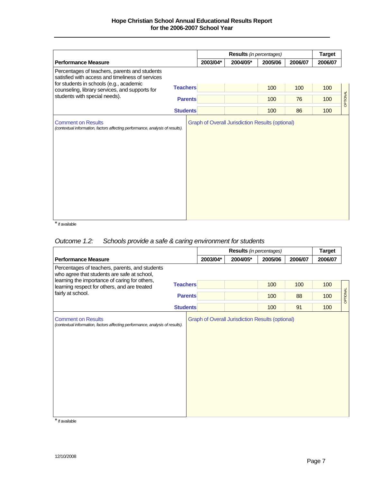|                                                                                                            |                 |          |                                                         | <b>Target</b> |         |         |          |
|------------------------------------------------------------------------------------------------------------|-----------------|----------|---------------------------------------------------------|---------------|---------|---------|----------|
| <b>Performance Measure</b>                                                                                 |                 | 2003/04* | 2004/05*                                                | 2005/06       | 2006/07 | 2006/07 |          |
| Percentages of teachers, parents and students<br>satisfied with access and timeliness of services          |                 |          |                                                         |               |         |         |          |
| for students in schools (e.g., academic<br>counseling, library services, and supports for                  | <b>Teachers</b> |          |                                                         | 100           | 100     | 100     |          |
| students with special needs).                                                                              | <b>Parents</b>  |          |                                                         | 100           | 76      | 100     | OPTIONAL |
|                                                                                                            | <b>Students</b> |          |                                                         | 100           | 86      | 100     |          |
| <b>Comment on Results</b><br>(contextual information, factors affecting performance, analysis of results). |                 |          | <b>Graph of Overall Jurisdiction Results (optional)</b> |               |         |         |          |

\*if available

## *Outcome 1.2: Schools provide a safe & caring environment for students*

|                                                                                                            |                 |          | <b>Results</b> (in percentages)                         |         |         |         |                 |  |  |  |  |
|------------------------------------------------------------------------------------------------------------|-----------------|----------|---------------------------------------------------------|---------|---------|---------|-----------------|--|--|--|--|
| <b>Performance Measure</b>                                                                                 |                 | 2003/04* | 2004/05*                                                | 2005/06 | 2006/07 | 2006/07 |                 |  |  |  |  |
| Percentages of teachers, parents, and students<br>who agree that students are safe at school,              |                 |          |                                                         |         |         |         |                 |  |  |  |  |
| learning the importance of caring for others,<br>learning respect for others, and are treated              | <b>Teachers</b> |          |                                                         | 100     | 100     | 100     |                 |  |  |  |  |
| fairly at school.                                                                                          | <b>Parents</b>  |          |                                                         | 100     | 88      | 100     | <b>OPTIONAL</b> |  |  |  |  |
|                                                                                                            | <b>Students</b> |          |                                                         | 100     | 91      | 100     |                 |  |  |  |  |
| <b>Comment on Results</b><br>(contextual information, factors affecting performance, analysis of results). |                 |          | <b>Graph of Overall Jurisdiction Results (optional)</b> |         |         |         |                 |  |  |  |  |

\*if available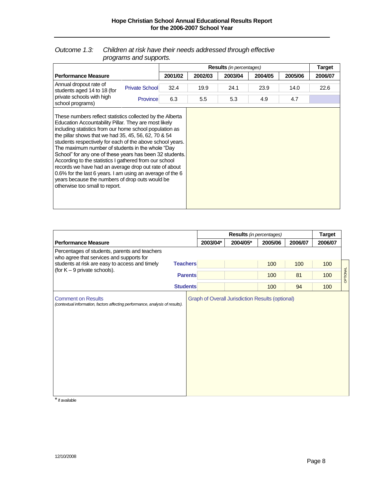#### *Outcome 1.3: Children at risk have their needs addressed through effective programs and supports.*

|                                                                                                                                                                                                                                                                                                                                                                                                                                                                                                                                                                                                                                                                                         |  | <b>Results</b> (in percentages) |         |         |         |         | <b>Target</b> |
|-----------------------------------------------------------------------------------------------------------------------------------------------------------------------------------------------------------------------------------------------------------------------------------------------------------------------------------------------------------------------------------------------------------------------------------------------------------------------------------------------------------------------------------------------------------------------------------------------------------------------------------------------------------------------------------------|--|---------------------------------|---------|---------|---------|---------|---------------|
| <b>Performance Measure</b>                                                                                                                                                                                                                                                                                                                                                                                                                                                                                                                                                                                                                                                              |  | 2001/02                         | 2002/03 | 2003/04 | 2004/05 | 2005/06 | 2006/07       |
| Annual dropout rate of<br><b>Private School</b><br>students aged 14 to 18 (for<br>private schools with high<br>Province<br>school programs)                                                                                                                                                                                                                                                                                                                                                                                                                                                                                                                                             |  | 32.4                            | 19.9    | 24.1    | 23.9    | 14.0    | 22.6          |
|                                                                                                                                                                                                                                                                                                                                                                                                                                                                                                                                                                                                                                                                                         |  | 6.3                             | 5.5     | 5.3     | 4.9     | 4.7     |               |
| These numbers reflect statistics collected by the Alberta<br>Education Accountability Pillar. They are most likely<br>including statistics from our home school population as<br>the pillar shows that we had 35, 45, 56, 62, 70 & 54<br>students respectively for each of the above school years.<br>The maximum number of students in the whole "Day<br>School" for any one of these years has been 32 students.<br>According to the statistics I gathered from our school<br>records we have had an average drop out rate of about<br>0.6% for the last 6 years. I am using an average of the 6<br>years because the numbers of drop outs would be<br>otherwise too small to report. |  |                                 |         |         |         |         |               |

|                                                                                           |                 | <b>Results</b> (in percentages) |          |         |         | <b>Target</b> |          |
|-------------------------------------------------------------------------------------------|-----------------|---------------------------------|----------|---------|---------|---------------|----------|
| <b>Performance Measure</b>                                                                |                 | 2003/04*                        | 2004/05* | 2005/06 | 2006/07 | 2006/07       |          |
| Percentages of students, parents and teachers<br>who agree that services and supports for |                 |                                 |          |         |         |               |          |
| students at risk are easy to access and timely                                            | <b>Teachers</b> |                                 |          | 100     | 100     | 100           |          |
| (for $K - 9$ private schools).                                                            | <b>Parents</b>  |                                 |          | 100     | 81      | 100           | OPTIONAL |
|                                                                                           | <b>Students</b> |                                 |          | 100     | 94      | 100           |          |
| (contextual information, factors affecting performance, analysis of results).             |                 |                                 |          |         |         |               |          |

\*if available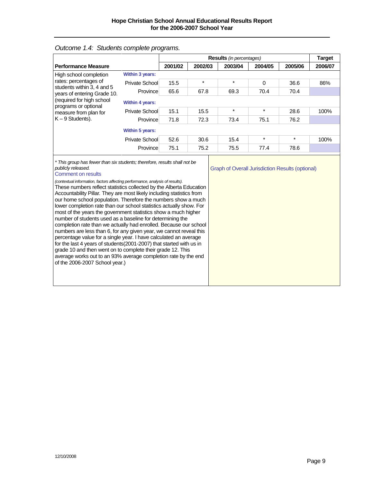|                                                                                                                                                                                                                                                                                                                                                                                                                                                                                                                                                                                                                                                                                                                                                                                                                                                                                                                                                                                                                                                     |                        |         |         | <b>Results</b> (in percentages)                         |          |         | <b>Target</b> |
|-----------------------------------------------------------------------------------------------------------------------------------------------------------------------------------------------------------------------------------------------------------------------------------------------------------------------------------------------------------------------------------------------------------------------------------------------------------------------------------------------------------------------------------------------------------------------------------------------------------------------------------------------------------------------------------------------------------------------------------------------------------------------------------------------------------------------------------------------------------------------------------------------------------------------------------------------------------------------------------------------------------------------------------------------------|------------------------|---------|---------|---------------------------------------------------------|----------|---------|---------------|
| <b>Performance Measure</b>                                                                                                                                                                                                                                                                                                                                                                                                                                                                                                                                                                                                                                                                                                                                                                                                                                                                                                                                                                                                                          |                        | 2001/02 | 2002/03 | 2003/04                                                 | 2005/06  | 2006/07 |               |
| High school completion                                                                                                                                                                                                                                                                                                                                                                                                                                                                                                                                                                                                                                                                                                                                                                                                                                                                                                                                                                                                                              | <b>Within 3 years:</b> |         |         |                                                         |          |         |               |
| rates: percentages of                                                                                                                                                                                                                                                                                                                                                                                                                                                                                                                                                                                                                                                                                                                                                                                                                                                                                                                                                                                                                               | Private School         | 15.5    | $\star$ | *                                                       | $\Omega$ | 36.6    | 86%           |
| students within 3, 4 and 5<br>years of entering Grade 10.                                                                                                                                                                                                                                                                                                                                                                                                                                                                                                                                                                                                                                                                                                                                                                                                                                                                                                                                                                                           | Province               | 65.6    | 67.8    | 69.3                                                    | 70.4     | 70.4    |               |
| (required for high school<br>programs or optional                                                                                                                                                                                                                                                                                                                                                                                                                                                                                                                                                                                                                                                                                                                                                                                                                                                                                                                                                                                                   | <b>Within 4 years:</b> |         |         |                                                         |          |         |               |
| measure from plan for                                                                                                                                                                                                                                                                                                                                                                                                                                                                                                                                                                                                                                                                                                                                                                                                                                                                                                                                                                                                                               | Private School         | 15.1    | 15.5    | $\ast$                                                  | $\star$  | 28.6    | 100%          |
| $K - 9$ Students).                                                                                                                                                                                                                                                                                                                                                                                                                                                                                                                                                                                                                                                                                                                                                                                                                                                                                                                                                                                                                                  | Province               | 71.8    | 72.3    | 73.4                                                    | 75.1     | 76.2    |               |
|                                                                                                                                                                                                                                                                                                                                                                                                                                                                                                                                                                                                                                                                                                                                                                                                                                                                                                                                                                                                                                                     | Within 5 years:        |         |         |                                                         |          |         |               |
|                                                                                                                                                                                                                                                                                                                                                                                                                                                                                                                                                                                                                                                                                                                                                                                                                                                                                                                                                                                                                                                     | Private School         | 52.6    | 30.6    | 15.4                                                    | $\star$  | $\star$ | 100%          |
|                                                                                                                                                                                                                                                                                                                                                                                                                                                                                                                                                                                                                                                                                                                                                                                                                                                                                                                                                                                                                                                     | Province               | 75.1    | 75.2    | 75.5                                                    | 77.4     | 78.6    |               |
| * This group has fewer than six students; therefore, results shall not be<br>publicly released.<br>Comment on results<br>(contextual information, factors affecting performance, analysis of results).<br>These numbers reflect statistics collected by the Alberta Education<br>Accountability Pillar. They are most likely including statistics from<br>our home school population. Therefore the numbers show a much<br>lower completion rate than our school statistics actually show. For<br>most of the years the government statistics show a much higher<br>number of students used as a baseline for determining the<br>completion rate than we actually had enrolled. Because our school<br>numbers are less than 6, for any given year, we cannot reveal this<br>percentage value for a single year. I have calculated an average<br>for the last 4 years of students(2001-2007) that started with us in<br>grade 10 and then went on to complete their grade 12. This<br>average works out to an 93% average completion rate by the end |                        |         |         | <b>Graph of Overall Jurisdiction Results (optional)</b> |          |         |               |

## *Outcome 1.4: Students complete programs.*

of the 2006-2007 School year.)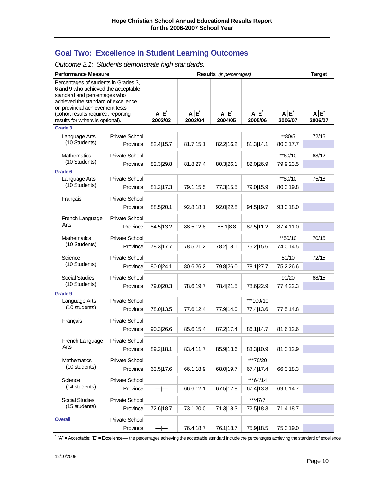# **Goal Two: Excellence in Student Learning Outcomes**

| Outcome 2.1: Students demonstrate high standards. |  |  |
|---------------------------------------------------|--|--|
|                                                   |  |  |

| <b>Performance Measure</b>                                                                                                                                                                                                                                        |                       |                    | <b>Target</b>      |                    |                    |                    |                    |
|-------------------------------------------------------------------------------------------------------------------------------------------------------------------------------------------------------------------------------------------------------------------|-----------------------|--------------------|--------------------|--------------------|--------------------|--------------------|--------------------|
| Percentages of students in Grades 3,<br>6 and 9 who achieved the acceptable<br>standard and percentages who<br>achieved the standard of excellence<br>on provincial achievement tests<br>(cohort results required, reporting<br>results for writers is optional). |                       | $A E^*$<br>2002/03 | $A E^*$<br>2003/04 | $A E^*$<br>2004/05 | $A E^*$<br>2005/06 | $A E^*$<br>2006/07 | $A E^*$<br>2006/07 |
| Grade 3                                                                                                                                                                                                                                                           |                       |                    |                    |                    |                    |                    |                    |
| Language Arts                                                                                                                                                                                                                                                     | Private School        |                    |                    |                    |                    | **80/5             | 72/15              |
| (10 Students)                                                                                                                                                                                                                                                     | Province              | 82.4 15.7          | 81.7 15.1          | 82.2 16.2          | 81.3 14.1          | 80.3 17.7          |                    |
| <b>Mathematics</b>                                                                                                                                                                                                                                                | Private School        |                    |                    |                    |                    | **60/10            | 68/12              |
| (10 Students)                                                                                                                                                                                                                                                     | Province              | 82.3 29.8          | 81.8 27.4          | 80.3 26.1          | 82.0 26.9          | 79.9 23.5          |                    |
| Grade 6                                                                                                                                                                                                                                                           |                       |                    |                    |                    |                    |                    |                    |
| Language Arts                                                                                                                                                                                                                                                     | Private School        |                    |                    |                    |                    | **80/10            | 75/18              |
| (10 Students)                                                                                                                                                                                                                                                     | Province              | 81.2 17.3          | 79.1 15.5          | 77.3 15.5          | 79.0 15.9          | 80.3 19.8          |                    |
| Français                                                                                                                                                                                                                                                          | Private School        |                    |                    |                    |                    |                    |                    |
|                                                                                                                                                                                                                                                                   | Province              | 88.5 20.1          | 92.8 18.1          | 92.0 22.8          | 94.5 19.7          | 93.0 18.0          |                    |
| French Language                                                                                                                                                                                                                                                   | <b>Private School</b> |                    |                    |                    |                    |                    |                    |
| Arts                                                                                                                                                                                                                                                              | Province              | 84.5 13.2          | 88.5 12.8          | 85.1 8.8           | 87.5 11.2          | 87.4 11.0          |                    |
| <b>Mathematics</b>                                                                                                                                                                                                                                                | Private School        |                    |                    |                    |                    | **50/10            | 70/15              |
| (10 Students)                                                                                                                                                                                                                                                     | Province              | 78.3 17.7          | 78.5 21.2          | 78.2 18.1          | 75.2 15.6          | 74.0 14.5          |                    |
| Science                                                                                                                                                                                                                                                           | Private School        |                    |                    |                    |                    |                    | 72/15              |
| (10 Students)                                                                                                                                                                                                                                                     | Province              | 80.0 24.1          | 80.6 26.2          | 79.8 26.0          | 78.1 27.7          | 50/10<br>75.2 26.6 |                    |
|                                                                                                                                                                                                                                                                   |                       |                    |                    |                    |                    |                    |                    |
| <b>Social Studies</b>                                                                                                                                                                                                                                             | <b>Private School</b> |                    |                    |                    |                    | 90/20              | 68/15              |
| (10 Students)                                                                                                                                                                                                                                                     | Province              | 79.0 20.3          | 78.6 19.7          | 78.4 21.5          | 78.6 22.9          | 77.4 22.3          |                    |
| Grade 9<br>Language Arts                                                                                                                                                                                                                                          | Private School        |                    |                    |                    | ***100/10          |                    |                    |
| (10 students)                                                                                                                                                                                                                                                     | Province              | 78.0 13.5          | 77.6 12.4          | 77.9 14.0          | 77.4 13.6          | 77.5 14.8          |                    |
|                                                                                                                                                                                                                                                                   |                       |                    |                    |                    |                    |                    |                    |
| Français                                                                                                                                                                                                                                                          | Private School        |                    |                    |                    |                    |                    |                    |
|                                                                                                                                                                                                                                                                   | Province              | 90.3 26.6          | 85.6 15.4          | 87.2 17.4          | 86.1 14.7          | 81.6 12.6          |                    |
| French Language                                                                                                                                                                                                                                                   | Private School        |                    |                    |                    |                    |                    |                    |
| Arts                                                                                                                                                                                                                                                              | Province              | 89.2 18.1          | 83.4 11.7          | 85.9 13.6          | 83.3 10.9          | 81.3 12.9          |                    |
| Mathematics                                                                                                                                                                                                                                                       | Private School        |                    |                    |                    | ***70/20           |                    |                    |
| (10 students)                                                                                                                                                                                                                                                     | Province              | 63.5 17.6          | 66.1 18.9          | 68.0 19.7          | 67.4 17.4          | 66.3 18.3          |                    |
| Science                                                                                                                                                                                                                                                           | <b>Private School</b> |                    |                    |                    | ***64/14           |                    |                    |
| (14 students)                                                                                                                                                                                                                                                     | Province              | ⊹                  | 66.6 12.1          | 67.5 12.8          | 67.4 13.3          | 69.6 14.7          |                    |
| Social Studies                                                                                                                                                                                                                                                    | Private School        |                    |                    |                    | ***47/7            |                    |                    |
| (15 students)                                                                                                                                                                                                                                                     | Province              | 72.6 18.7          | 73.1 20.0          | 71.3 18.3          | 72.5 18.3          | 71.4 18.7          |                    |
| <b>Overall</b>                                                                                                                                                                                                                                                    | Private School        |                    |                    |                    |                    |                    |                    |
|                                                                                                                                                                                                                                                                   | Province              |                    | 76.4 18.7          | 76.1 18.7          | 75.9 18.5          | 75.3 19.0          |                    |

 $*$  "A" = Acceptable; "E" = Excellence — the percentages achieving the acceptable standard include the percentages achieving the standard of excellence.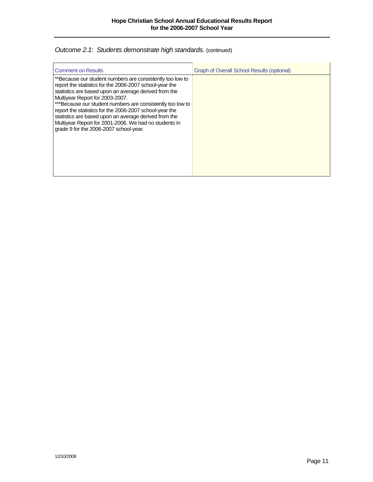## **Outcome 2.1: Students demonstrate high standards.** (continued)

| <b>Comment on Results</b>                                                                                                                                                                                                                                                                                                                                                                                                                                                                             | Graph of Overall School Results (optional) |
|-------------------------------------------------------------------------------------------------------------------------------------------------------------------------------------------------------------------------------------------------------------------------------------------------------------------------------------------------------------------------------------------------------------------------------------------------------------------------------------------------------|--------------------------------------------|
| **Because our student numbers are consistently too low to<br>report the statistics for the 2006-2007 school-year the<br>statistics are based upon an average derived from the<br>Multiyear Report for 2003-2007.<br>***Because our student numbers are consistently too low to<br>report the statistics for the 2006-2007 school-year the<br>statistics are based upon an average derived from the<br>Multiyear Report for 2001-2006. We had no students in<br>grade 9 for the 2006-2007 school-year. |                                            |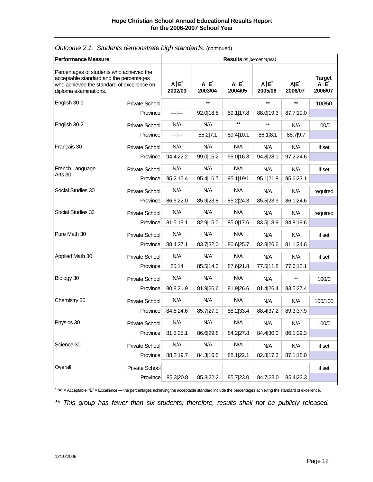| <b>Performance Measure</b>                                                                                                                                 |                       | Results (in percentages) |                    |                |                    |                |                                 |  |
|------------------------------------------------------------------------------------------------------------------------------------------------------------|-----------------------|--------------------------|--------------------|----------------|--------------------|----------------|---------------------------------|--|
| Percentages of students who achieved the<br>acceptable standard and the percentages<br>who achieved the standard of excellence on<br>diploma examinations. |                       | $A E^*$<br>2002/03       | $A E^*$<br>2003/04 | A E<br>2004/05 | $A E^*$<br>2005/06 | A E<br>2006/07 | <b>Target</b><br>A E<br>2006/07 |  |
| English 30-1                                                                                                                                               | <b>Private School</b> |                          | $***$              |                | $\star\star$       | $***$          | 100/50                          |  |
|                                                                                                                                                            | Province              | $ -$                     | 92.0 18.8          | 89.1 17.8      | 88.0 19.3          | 87.7 19.0      |                                 |  |
| English 30-2                                                                                                                                               | Private School        | N/A                      | N/A                | $***$          | $***$              | N/A            | 100/0                           |  |
|                                                                                                                                                            | Province              | $ -$                     | 85.2 7.1           | 89.4 10.1      | 86.1 8.1           | 88.7 9.7       |                                 |  |
| Français 30                                                                                                                                                | Private School        | N/A                      | N/A                | N/A            | N/A                | N/A            | if set                          |  |
|                                                                                                                                                            | Province              | 94.4 22.2                | 99.0 15.2          | 95.0 16.3      | 94.8 28.1          | 97.2 24.6      |                                 |  |
| French Language                                                                                                                                            | Private School        | N/A                      | N/A                | N/A            | N/A                | N/A            | if set                          |  |
| Arts 30                                                                                                                                                    | Province              | 95.2 15.4                | 95.4 16.7          | 95.1 19/1      | 95.1 21.8          | 95.6 23.1      |                                 |  |
| Social Studies 30                                                                                                                                          | Private School        | N/A                      | N/A                | N/A            | N/A                | N/A            | required                        |  |
|                                                                                                                                                            | Province              | 86.6 22.0                | 85.9 23.8          | 85.2 24.3      | 85.5 23.9          | 86.1 24.6      |                                 |  |
| Social Studies 33                                                                                                                                          | Private School        | N/A                      | N/A                | N/A            | N/A                | N/A            | required                        |  |
|                                                                                                                                                            | Province              | 81.5 13.1                | 82.9 15.0          | 85.0 17.6      | 83.5 18.9          | 84.8 19.6      |                                 |  |
| Pure Math 30                                                                                                                                               | Private School        | N/A                      | N/A                | N/A            | N/A                | N/A            | if set                          |  |
|                                                                                                                                                            | Province              | 88.4 27.1                | 83.7 32.0          | 80.6 25.7      | 82.8 26.6          | 81.1 24.6      |                                 |  |
| Applied Math 30                                                                                                                                            | Private School        | N/A                      | N/A                | N/A            | N/A                | N/A            | if set                          |  |
|                                                                                                                                                            | Province              | 85 14                    | 85.5 14.3          | 87.6 21.8      | 77.5 11.8          | 77.6 12.1      |                                 |  |
| Biology 30                                                                                                                                                 | Private School        | N/A                      | N/A                | N/A            | N/A                | $\star\star$   | 100/0                           |  |
|                                                                                                                                                            | Province              | 80.8 21.9                | 81.9 26.6          | 81.9 26.6      | 81.4 26.4          | 83.5 27.4      |                                 |  |
| Chemistry 30                                                                                                                                               | Private School        | N/A                      | N/A                | N/A            | N/A                | N/A            | 100/100                         |  |
|                                                                                                                                                            | Province              | 84.5 24.6                | 85.7 27.9          | 88.2 33.4      | 88.4 37.2          | 89.3 37.9      |                                 |  |
| Physics 30                                                                                                                                                 | Private School        | N/A                      | N/A                | N/A            | N/A                | N/A            | 100/0                           |  |
|                                                                                                                                                            | Province              | 81.5 25.1                | 86.6 29.8          | 84.2 27.8      | 84.4 30.0          | 86.1 29.3      |                                 |  |
| Science 30                                                                                                                                                 | Private School        | N/A                      | N/A                | N/A            | N/A                | N/A            | if set                          |  |
|                                                                                                                                                            | Province              | 88.2 19.7                | 84.3 16.5          | 88.1 22.1      | 82.8 17.3          | 87.1 18.0      |                                 |  |
| Overall                                                                                                                                                    | Private School        |                          |                    |                |                    |                | if set                          |  |
|                                                                                                                                                            | Province              | 85.3 20.8                | 85.8 22.2          | 85.7 23.0      | 84.7 23.0          | 85.4 23.3      |                                 |  |

## *Outcome 2.1: Students demonstrate high standards.* (continued)

 $\check{ }$  "A" = Acceptable; "E" = Excellence — the percentages achieving the acceptable standard include the percentages achieving the standard of excellence.

*\*\* This group has fewer than six students; therefore, results shall not be publicly released.*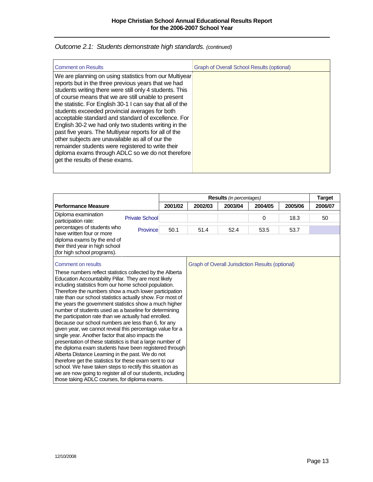| Outcome 2.1: Students demonstrate high standards. (continued) |  |  |  |
|---------------------------------------------------------------|--|--|--|
|---------------------------------------------------------------|--|--|--|

| <b>Comment on Results</b>                                                                                                                                                                                                                                                                                                                                                                                                                                                                                                                                                                                                                                                                                               | <b>Graph of Overall School Results (optional)</b> |
|-------------------------------------------------------------------------------------------------------------------------------------------------------------------------------------------------------------------------------------------------------------------------------------------------------------------------------------------------------------------------------------------------------------------------------------------------------------------------------------------------------------------------------------------------------------------------------------------------------------------------------------------------------------------------------------------------------------------------|---------------------------------------------------|
| We are planning on using statistics from our Multiyear<br>reports but in the three previous years that we had<br>students writing there were still only 4 students. This<br>of course means that we are still unable to present<br>the statistic. For English 30-1 I can say that all of the<br>students exceeded provincial averages for both<br>acceptable standard and standard of excellence. For<br>English 30-2 we had only two students writing in the<br>past five years. The Multiyear reports for all of the<br>other subjects are unavailable as all of our the<br>remainder students were registered to write their<br>diploma exams through ADLC so we do not therefore<br>get the results of these exams. |                                                   |

|                                                                                                                                                                                                                                                                                                                                                                                                                                                                                                                                                                                                                                                                                                                                                                                                                                                                                                                                                                                                                                                       |         |         | <b>Results</b> (in percentages)                         |         |         | <b>Target</b> |
|-------------------------------------------------------------------------------------------------------------------------------------------------------------------------------------------------------------------------------------------------------------------------------------------------------------------------------------------------------------------------------------------------------------------------------------------------------------------------------------------------------------------------------------------------------------------------------------------------------------------------------------------------------------------------------------------------------------------------------------------------------------------------------------------------------------------------------------------------------------------------------------------------------------------------------------------------------------------------------------------------------------------------------------------------------|---------|---------|---------------------------------------------------------|---------|---------|---------------|
| <b>Performance Measure</b>                                                                                                                                                                                                                                                                                                                                                                                                                                                                                                                                                                                                                                                                                                                                                                                                                                                                                                                                                                                                                            | 2001/02 | 2002/03 | 2003/04                                                 | 2004/05 | 2005/06 | 2006/07       |
| Diploma examination<br><b>Private School</b><br>participation rate:                                                                                                                                                                                                                                                                                                                                                                                                                                                                                                                                                                                                                                                                                                                                                                                                                                                                                                                                                                                   |         |         |                                                         | 0       | 18.3    | 50            |
| percentages of students who<br>Province                                                                                                                                                                                                                                                                                                                                                                                                                                                                                                                                                                                                                                                                                                                                                                                                                                                                                                                                                                                                               | 50.1    | 51.4    | 52.4                                                    | 53.5    | 53.7    |               |
| diploma exams by the end of<br>their third year in high school<br>(for high school programs).                                                                                                                                                                                                                                                                                                                                                                                                                                                                                                                                                                                                                                                                                                                                                                                                                                                                                                                                                         |         |         |                                                         |         |         |               |
| Comment on results                                                                                                                                                                                                                                                                                                                                                                                                                                                                                                                                                                                                                                                                                                                                                                                                                                                                                                                                                                                                                                    |         |         | <b>Graph of Overall Jurisdiction Results (optional)</b> |         |         |               |
| have written four or more<br>These numbers reflect statistics collected by the Alberta<br>Education Accountability Pillar. They are most likely<br>including statistics from our home school population.<br>Therefore the numbers show a much lower participation<br>rate than our school statistics actually show. For most of<br>the years the government statistics show a much higher<br>number of students used as a baseline for determining<br>the participation rate than we actually had enrolled.<br>Because our school numbers are less than 6, for any<br>given year, we cannot reveal this percentage value for a<br>single year. Another factor that also impacts the<br>presentation of these statistics is that a large number of<br>the diploma exam students have been registered through<br>Alberta Distance Learning in the past. We do not<br>therefore get the statistics for these exam sent to our<br>school. We have taken steps to rectify this situation as<br>we are now going to register all of our students, including |         |         |                                                         |         |         |               |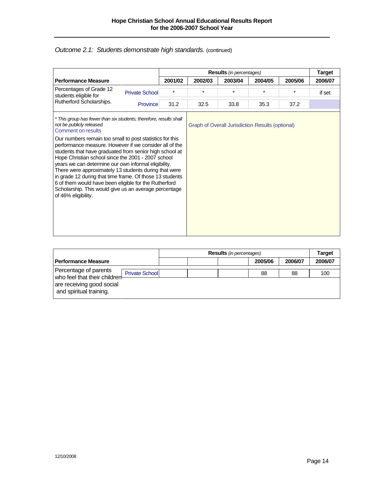## **Outcome 2.1: Students demonstrate high standards.** (continued)

|                                                                                                                                                                                                                                                                                                                                                                                                                                                                                                                                                           |                       |         |         | <b>Results</b> (in percentages)                         |         |         | <b>Target</b> |
|-----------------------------------------------------------------------------------------------------------------------------------------------------------------------------------------------------------------------------------------------------------------------------------------------------------------------------------------------------------------------------------------------------------------------------------------------------------------------------------------------------------------------------------------------------------|-----------------------|---------|---------|---------------------------------------------------------|---------|---------|---------------|
| <b>Performance Measure</b>                                                                                                                                                                                                                                                                                                                                                                                                                                                                                                                                |                       | 2001/02 | 2002/03 | 2003/04                                                 | 2004/05 | 2005/06 | 2006/07       |
| Percentages of Grade 12<br>students eligible for                                                                                                                                                                                                                                                                                                                                                                                                                                                                                                          | <b>Private School</b> | $\star$ | $\star$ | $\star$                                                 | $\star$ | *       | if set        |
| Rutherford Scholarships.                                                                                                                                                                                                                                                                                                                                                                                                                                                                                                                                  | Province              | 31.2    | 32.5    | 33.8                                                    | 35.3    | 37.2    |               |
| * This group has fewer than six students; therefore, results shall<br>not be publicly released.<br>Comment on results                                                                                                                                                                                                                                                                                                                                                                                                                                     |                       |         |         | <b>Graph of Overall Jurisdiction Results (optional)</b> |         |         |               |
| Our numbers remain too small to post statistics for this<br>performance measure. However if we consider all of the<br>students that have graduated from senior high school at<br>Hope Christian school since the 2001 - 2007 school<br>years we can determine our own informal eligibility.<br>There were approximately 13 students during that were<br>in grade 12 during that time frame. Of those 13 students<br>6 of them would have been eligible for the Rutherford<br>Scholarship. This would give us an average percentage<br>of 46% eligibility. |                       |         |         |                                                         |         |         |               |

|                                                                                                              |  | <b>Results</b> (in percentages) |  |    |         |         | <b>Target</b> |
|--------------------------------------------------------------------------------------------------------------|--|---------------------------------|--|----|---------|---------|---------------|
| <b>Performance Measure</b>                                                                                   |  |                                 |  |    | 2005/06 | 2006/07 | 2006/07       |
| Percentage of parents<br><b>Private School</b><br>who feel that their children-<br>are receiving good social |  |                                 |  | 88 | 88      | 100     |               |
| and spiritual training.                                                                                      |  |                                 |  |    |         |         |               |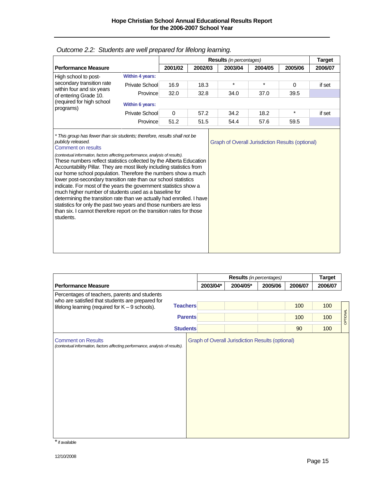|                                                                                                                                                                                                                                                                                                                                                                                                                                                                                                                                                                                                                                                                                                                                                                                                                                                                                                              |                 |             |         | <b>Results</b> (in percentages) |                                                         |          | <b>Target</b> |
|--------------------------------------------------------------------------------------------------------------------------------------------------------------------------------------------------------------------------------------------------------------------------------------------------------------------------------------------------------------------------------------------------------------------------------------------------------------------------------------------------------------------------------------------------------------------------------------------------------------------------------------------------------------------------------------------------------------------------------------------------------------------------------------------------------------------------------------------------------------------------------------------------------------|-----------------|-------------|---------|---------------------------------|---------------------------------------------------------|----------|---------------|
| <b>Performance Measure</b>                                                                                                                                                                                                                                                                                                                                                                                                                                                                                                                                                                                                                                                                                                                                                                                                                                                                                   |                 | 2001/02     | 2002/03 | 2003/04                         | 2004/05                                                 | 2005/06  | 2006/07       |
| High school to post-                                                                                                                                                                                                                                                                                                                                                                                                                                                                                                                                                                                                                                                                                                                                                                                                                                                                                         | Within 4 years: |             |         |                                 |                                                         |          |               |
| secondary transition rate                                                                                                                                                                                                                                                                                                                                                                                                                                                                                                                                                                                                                                                                                                                                                                                                                                                                                    | Private School  | 16.9        | 18.3    | $\star$                         | $\star$                                                 | $\Omega$ | if set        |
| of entering Grade 10.                                                                                                                                                                                                                                                                                                                                                                                                                                                                                                                                                                                                                                                                                                                                                                                                                                                                                        | Province        | 32.0        | 32.8    | 34.0                            | 37.0                                                    | 39.5     |               |
| (required for high school                                                                                                                                                                                                                                                                                                                                                                                                                                                                                                                                                                                                                                                                                                                                                                                                                                                                                    | Within 6 years: |             |         |                                 |                                                         |          |               |
|                                                                                                                                                                                                                                                                                                                                                                                                                                                                                                                                                                                                                                                                                                                                                                                                                                                                                                              | Private School  | $\mathbf 0$ | 57.2    | 34.2                            | 18.2                                                    | $\star$  | if set        |
|                                                                                                                                                                                                                                                                                                                                                                                                                                                                                                                                                                                                                                                                                                                                                                                                                                                                                                              | Province        | 51.2        | 51.5    | 54.4                            | 57.6                                                    | 59.5     |               |
| within four and six years<br>programs)<br>* This group has fewer than six students; therefore, results shall not be<br>publicly released.<br><b>Comment on results</b><br>(contextual information, factors affecting performance, analysis of results).<br>These numbers reflect statistics collected by the Alberta Education<br>Accountability Pillar. They are most likely including statistics from<br>our home school population. Therefore the numbers show a much<br>lower post-secondary transition rate than our school statistics<br>indicate. For most of the years the government statistics show a<br>much higher number of students used as a baseline for<br>determining the transition rate than we actually had enrolled. I have<br>statistics for only the past two years and those numbers are less<br>than six. I cannot therefore report on the transition rates for those<br>students. |                 |             |         |                                 | <b>Graph of Overall Jurisdiction Results (optional)</b> |          |               |

| Outcome 2.2: Students are well prepared for lifelong learning. |  |  |  |
|----------------------------------------------------------------|--|--|--|
|                                                                |  |  |  |

|                                                                                                   |                 |          | Results (in percentages) |         |         | <b>Target</b> |         |
|---------------------------------------------------------------------------------------------------|-----------------|----------|--------------------------|---------|---------|---------------|---------|
| <b>Performance Measure</b>                                                                        |                 | 2003/04* | 2004/05*                 | 2005/06 | 2006/07 | 2006/07       |         |
| Percentages of teachers, parents and students<br>who are satisfied that students are prepared for |                 |          |                          |         |         |               |         |
| lifelong learning (required for $K - 9$ schools).                                                 | <b>Teachers</b> |          |                          |         | 100     | 100           |         |
|                                                                                                   | <b>Parents</b>  |          |                          |         | 100     | 100           | OPTONAL |
|                                                                                                   | <b>Students</b> |          |                          |         | 90      | 100           |         |
|                                                                                                   |                 |          |                          |         |         |               |         |

\*if available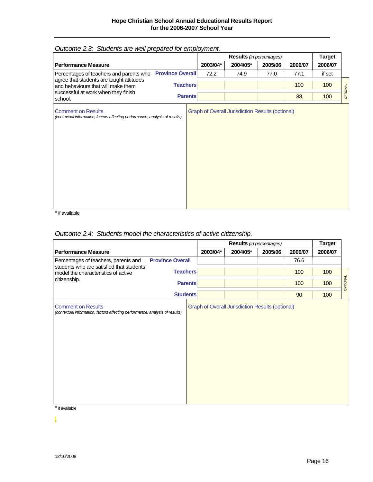|                                                                                                                                                        |                         |          | Results (in percentages)                                |         |         | <b>Target</b> |          |
|--------------------------------------------------------------------------------------------------------------------------------------------------------|-------------------------|----------|---------------------------------------------------------|---------|---------|---------------|----------|
| <b>Performance Measure</b>                                                                                                                             |                         | 2003/04* | 2004/05*                                                | 2005/06 | 2006/07 | 2006/07       |          |
| Percentages of teachers and parents who                                                                                                                | <b>Province Overall</b> | 72.2     | 74.9                                                    | 77.0    | 77.1    | if set        |          |
| and behaviours that will make them                                                                                                                     | <b>Teachers</b>         |          |                                                         |         | 100     | 100           |          |
| successful at work when they finish<br>school.                                                                                                         | <b>Parents</b>          |          |                                                         |         | 88      | 100           | OPTIONAL |
| agree that students are taught attitudes<br><b>Comment on Results</b><br>(contextual information, factors affecting performance, analysis of results). |                         |          | <b>Graph of Overall Jurisdiction Results (optional)</b> |         |         |               |          |

# *Outcome 2.3: Students are well prepared for employment.*

\*if available

## *Outcome 2.4: Students model the characteristics of active citizenship.*

|                                                                                                            |                         | Results (in percentages) |                                                         |         | <b>Target</b> |         |          |
|------------------------------------------------------------------------------------------------------------|-------------------------|--------------------------|---------------------------------------------------------|---------|---------------|---------|----------|
| <b>Performance Measure</b>                                                                                 |                         | 2003/04*                 | 2004/05*                                                | 2005/06 | 2006/07       | 2006/07 |          |
| Percentages of teachers, parents and                                                                       | <b>Province Overall</b> |                          |                                                         |         | 76.6          |         |          |
| students who are satisfied that students<br>model the characteristics of active                            | <b>Teachers</b>         |                          |                                                         |         | 100           | 100     |          |
| citizenship.                                                                                               | <b>Parents</b>          |                          |                                                         |         | 100           | 100     | OPTIONAL |
|                                                                                                            | <b>Students</b>         |                          |                                                         |         | 90            | 100     |          |
| <b>Comment on Results</b><br>(contextual information, factors affecting performance, analysis of results). |                         |                          | <b>Graph of Overall Jurisdiction Results (optional)</b> |         |               |         |          |

\*if available

.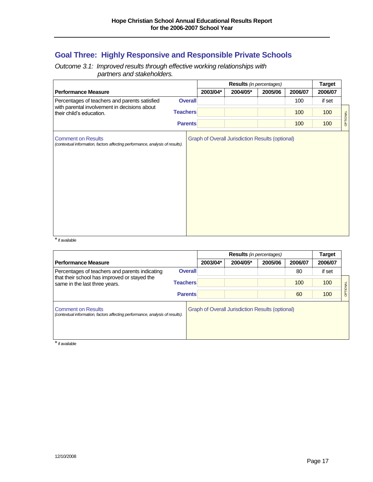# **Goal Three: Highly Responsive and Responsible Private Schools**

*Outcome 3.1: Improved results through effective working relationships with partners and stakeholders.*

|                                                                                                            |                 |          | <b>Results</b> (in percentages)                         |         |         | Target  |          |
|------------------------------------------------------------------------------------------------------------|-----------------|----------|---------------------------------------------------------|---------|---------|---------|----------|
| <b>Performance Measure</b>                                                                                 |                 | 2003/04* | 2004/05*                                                | 2005/06 | 2006/07 | 2006/07 |          |
| Percentages of teachers and parents satisfied                                                              | <b>Overall</b>  |          |                                                         |         | 100     | if set  |          |
| with parental involvement in decisions about<br>their child's education.                                   | <b>Teachers</b> |          |                                                         |         | 100     | 100     |          |
|                                                                                                            | <b>Parents</b>  |          |                                                         |         | 100     | 100     | OPTIONAL |
| <b>Comment on Results</b><br>(contextual information, factors affecting performance, analysis of results). |                 |          | <b>Graph of Overall Jurisdiction Results (optional)</b> |         |         |         |          |

 $*$  if available

|                                                                                                            |                 | <b>Results</b> (in percentages) |                                                         |         |         | <b>Target</b> |          |
|------------------------------------------------------------------------------------------------------------|-----------------|---------------------------------|---------------------------------------------------------|---------|---------|---------------|----------|
| <b>Performance Measure</b>                                                                                 |                 | 2003/04*                        | 2004/05*                                                | 2005/06 | 2006/07 | 2006/07       |          |
| Percentages of teachers and parents indicating                                                             | <b>Overall</b>  |                                 |                                                         |         | 80      | if set        |          |
| that their school has improved or stayed the<br>same in the last three years.                              | <b>Teachers</b> |                                 |                                                         |         | 100     | 100           |          |
|                                                                                                            | <b>Parents</b>  |                                 |                                                         |         | 60      | 100           | OPTIONAL |
| <b>Comment on Results</b><br>(contextual information, factors affecting performance, analysis of results). |                 |                                 | <b>Graph of Overall Jurisdiction Results (optional)</b> |         |         |               |          |

 $*$  if available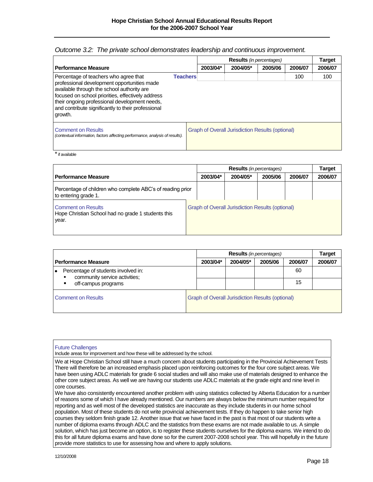|                                                                                                                                                                                                                                                                                                                              |                                                  | <b>Results</b> (in percentages) |         |         | <b>Target</b> |
|------------------------------------------------------------------------------------------------------------------------------------------------------------------------------------------------------------------------------------------------------------------------------------------------------------------------------|--------------------------------------------------|---------------------------------|---------|---------|---------------|
| <b>Performance Measure</b>                                                                                                                                                                                                                                                                                                   | 2003/04*                                         | 2004/05*                        | 2005/06 | 2006/07 | 2006/07       |
| Percentage of teachers who agree that<br><b>Teachers</b><br>professional development opportunities made<br>available through the school authority are<br>focused on school priorities, effectively address<br>their ongoing professional development needs,<br>and contribute significantly to their professional<br>growth. |                                                  |                                 |         | 100     | 100           |
| <b>Comment on Results</b><br>(contextual information, factors affecting performance, analysis of results).                                                                                                                                                                                                                   | Graph of Overall Jurisdiction Results (optional) |                                 |         |         |               |

#### *Outcome 3.2: The private school demonstrates leadership and continuous improvement.*

 $\overline{\phantom{a}}$  if available

|                                                                                          |  | <b>Results</b> (in percentages) |                                                         |         | Target  |         |
|------------------------------------------------------------------------------------------|--|---------------------------------|---------------------------------------------------------|---------|---------|---------|
| <b>Performance Measure</b>                                                               |  | 2003/04*                        | 2004/05*                                                | 2005/06 | 2006/07 | 2006/07 |
| Percentage of children who complete ABC's of reading prior<br>to entering grade 1.       |  |                                 |                                                         |         |         |         |
| <b>Comment on Results</b><br>Hope Christian School had no grade 1 students this<br>year. |  |                                 | <b>Graph of Overall Jurisdiction Results (optional)</b> |         |         |         |

|                                                                                             |                                                         | <b>Results</b> (in percentages) |          |         |         | Target  |
|---------------------------------------------------------------------------------------------|---------------------------------------------------------|---------------------------------|----------|---------|---------|---------|
| <b>Performance Measure</b>                                                                  |                                                         | 2003/04*                        | 2004/05* | 2005/06 | 2006/07 | 2006/07 |
| Percentage of students involved in:<br>community service activities;<br>off-campus programs |                                                         |                                 |          |         | 60      |         |
|                                                                                             |                                                         |                                 |          |         | 15      |         |
| <b>Comment on Results</b>                                                                   | <b>Graph of Overall Jurisdiction Results (optional)</b> |                                 |          |         |         |         |

#### Future Challenges

Include areas for improvement and how these will be addressed by the school.

We at Hope Christian School still have a much concern about students participating in the Provincial Achievement Tests There will therefore be an increased emphasis placed upon reinforcing outcomes for the four core subject areas. We have been using ADLC materials for grade 6 social studies and will also make use of materials designed to enhance the other core subject areas. As well we are having our students use ADLC materials at the grade eight and nine level in core courses.

We have also consistently encountered another problem with using statistics collected by Alberta Education for a number of reasons some of which I have already mentioned. Our numbers are always below the minimum number required for reporting and as well most of the developed statistics are inaccurate as they include students in our home school population. Most of these students do not write provincial achievement tests. If they do happen to take senior high courses they seldom finish grade 12. Another issue that we have faced in the past is that most of our students write a number of diploma exams through ADLC and the statistics from these exams are not made available to us. A simple solution, which has just become an option, is to register these students ourselves for the diploma exams. We intend to do this for all future diploma exams and have done so for the current 2007-2008 school year. This will hopefully in the future provide more statistics to use for assessing how and where to apply solutions.